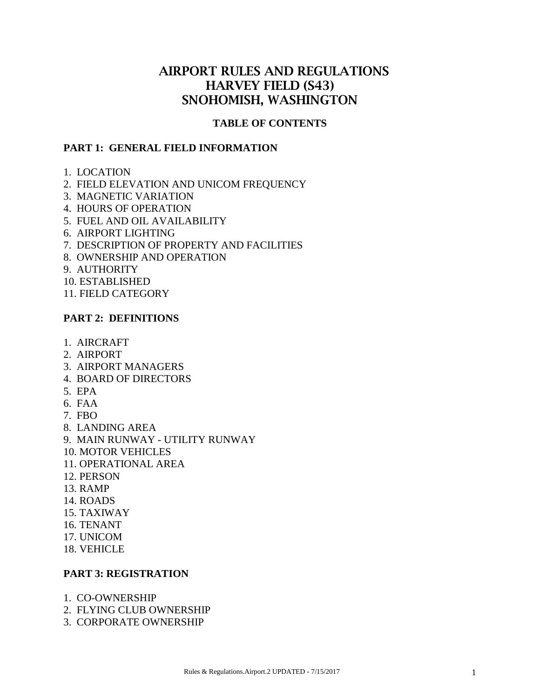# AIRPORT RULES AND REGULATIONS HARVEY FIELD (S43) SNOHOMISH, WASHINGTON

#### **TABLE OF CONTENTS**

#### **PART 1: GENERAL FIELD INFORMATION**

- 1. LOCATION
- 2. FIELD ELEVATION AND UNICOM FREQUENCY
- 3. MAGNETIC VARIATION
- 4. HOURS OF OPERATION
- 5. FUEL AND OIL AVAILABILITY
- 6. AIRPORT LIGHTING
- 7. DESCRIPTION OF PROPERTY AND FACILITIES
- 8. OWNERSHIP AND OPERATION
- 9. AUTHORITY
- 10. ESTABLISHED
- 11. FIELD CATEGORY

#### **PART 2: DEFINITIONS**

- 1. AIRCRAFT
- 2. AIRPORT
- 3. AIRPORT MANAGERS
- 4. BOARD OF DIRECTORS
- 5. EPA
- 6. FAA
- 7. FBO
- 8. LANDING AREA
- 9. MAIN RUNWAY UTILITY RUNWAY
- 10. MOTOR VEHICLES
- 11. OPERATIONAL AREA
- 12. PERSON
- 13. RAMP
- 14. ROADS
- 15. TAXIWAY
- 16. TENANT
- 17. UNICOM
- 18. VEHICLE

### **PART 3: REGISTRATION**

- 1. CO-OWNERSHIP
- 2. FLYING CLUB OWNERSHIP
- 3. CORPORATE OWNERSHIP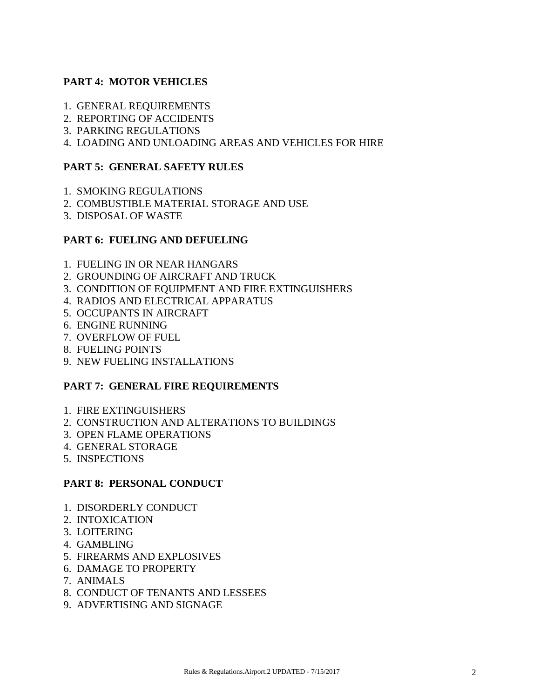# **PART 4: MOTOR VEHICLES**

- 1. GENERAL REQUIREMENTS
- 2. REPORTING OF ACCIDENTS
- 3. PARKING REGULATIONS
- 4. LOADING AND UNLOADING AREAS AND VEHICLES FOR HIRE

## **PART 5: GENERAL SAFETY RULES**

- 1. SMOKING REGULATIONS
- 2. COMBUSTIBLE MATERIAL STORAGE AND USE
- 3. DISPOSAL OF WASTE

### **PART 6: FUELING AND DEFUELING**

- 1. FUELING IN OR NEAR HANGARS
- 2. GROUNDING OF AIRCRAFT AND TRUCK
- 3. CONDITION OF EQUIPMENT AND FIRE EXTINGUISHERS
- 4. RADIOS AND ELECTRICAL APPARATUS
- 5. OCCUPANTS IN AIRCRAFT
- 6. ENGINE RUNNING
- 7. OVERFLOW OF FUEL
- 8. FUELING POINTS
- 9. NEW FUELING INSTALLATIONS

#### **PART 7: GENERAL FIRE REQUIREMENTS**

- 1. FIRE EXTINGUISHERS
- 2. CONSTRUCTION AND ALTERATIONS TO BUILDINGS
- 3. OPEN FLAME OPERATIONS
- 4. GENERAL STORAGE
- 5. INSPECTIONS

#### **PART 8: PERSONAL CONDUCT**

- 1. DISORDERLY CONDUCT
- 2. INTOXICATION
- 3. LOITERING
- 4. GAMBLING
- 5. FIREARMS AND EXPLOSIVES
- 6. DAMAGE TO PROPERTY
- 7. ANIMALS
- 8. CONDUCT OF TENANTS AND LESSEES
- 9. ADVERTISING AND SIGNAGE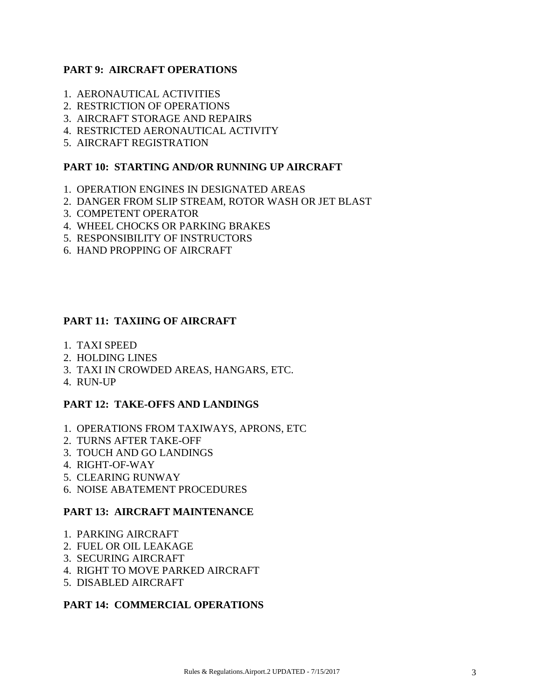## **PART 9: AIRCRAFT OPERATIONS**

- 1. AERONAUTICAL ACTIVITIES
- 2. RESTRICTION OF OPERATIONS
- 3. AIRCRAFT STORAGE AND REPAIRS
- 4. RESTRICTED AERONAUTICAL ACTIVITY
- 5. AIRCRAFT REGISTRATION

### **PART 10: STARTING AND/OR RUNNING UP AIRCRAFT**

- 1. OPERATION ENGINES IN DESIGNATED AREAS
- 2. DANGER FROM SLIP STREAM, ROTOR WASH OR JET BLAST
- 3. COMPETENT OPERATOR
- 4. WHEEL CHOCKS OR PARKING BRAKES
- 5. RESPONSIBILITY OF INSTRUCTORS
- 6. HAND PROPPING OF AIRCRAFT

# **PART 11: TAXIING OF AIRCRAFT**

- 1. TAXI SPEED
- 2. HOLDING LINES
- 3. TAXI IN CROWDED AREAS, HANGARS, ETC.
- 4. RUN-UP

# **PART 12: TAKE-OFFS AND LANDINGS**

- 1. OPERATIONS FROM TAXIWAYS, APRONS, ETC
- 2. TURNS AFTER TAKE-OFF
- 3. TOUCH AND GO LANDINGS
- 4. RIGHT-OF-WAY
- 5. CLEARING RUNWAY
- 6. NOISE ABATEMENT PROCEDURES

#### **PART 13: AIRCRAFT MAINTENANCE**

- 1. PARKING AIRCRAFT
- 2. FUEL OR OIL LEAKAGE
- 3. SECURING AIRCRAFT
- 4. RIGHT TO MOVE PARKED AIRCRAFT
- 5. DISABLED AIRCRAFT

# **PART 14: COMMERCIAL OPERATIONS**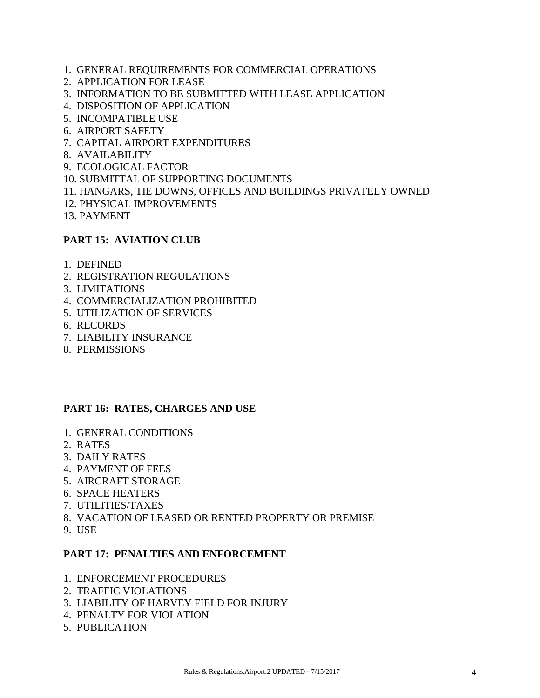- 1. GENERAL REQUIREMENTS FOR COMMERCIAL OPERATIONS
- 2. APPLICATION FOR LEASE
- 3. INFORMATION TO BE SUBMITTED WITH LEASE APPLICATION
- 4. DISPOSITION OF APPLICATION
- 5. INCOMPATIBLE USE
- 6. AIRPORT SAFETY
- 7. CAPITAL AIRPORT EXPENDITURES
- 8. AVAILABILITY
- 9. ECOLOGICAL FACTOR
- 10. SUBMITTAL OF SUPPORTING DOCUMENTS
- 11. HANGARS, TIE DOWNS, OFFICES AND BUILDINGS PRIVATELY OWNED
- 12. PHYSICAL IMPROVEMENTS
- 13. PAYMENT

#### **PART 15: AVIATION CLUB**

- 1. DEFINED
- 2. REGISTRATION REGULATIONS
- 3. LIMITATIONS
- 4. COMMERCIALIZATION PROHIBITED
- 5. UTILIZATION OF SERVICES
- 6. RECORDS
- 7. LIABILITY INSURANCE
- 8. PERMISSIONS

#### **PART 16: RATES, CHARGES AND USE**

- 1. GENERAL CONDITIONS
- 2. RATES
- 3. DAILY RATES
- 4. PAYMENT OF FEES
- 5. AIRCRAFT STORAGE
- 6. SPACE HEATERS
- 7. UTILITIES/TAXES
- 8. VACATION OF LEASED OR RENTED PROPERTY OR PREMISE
- 9. USE

#### **PART 17: PENALTIES AND ENFORCEMENT**

- 1. ENFORCEMENT PROCEDURES
- 2. TRAFFIC VIOLATIONS
- 3. LIABILITY OF HARVEY FIELD FOR INJURY
- 4. PENALTY FOR VIOLATION
- 5. PUBLICATION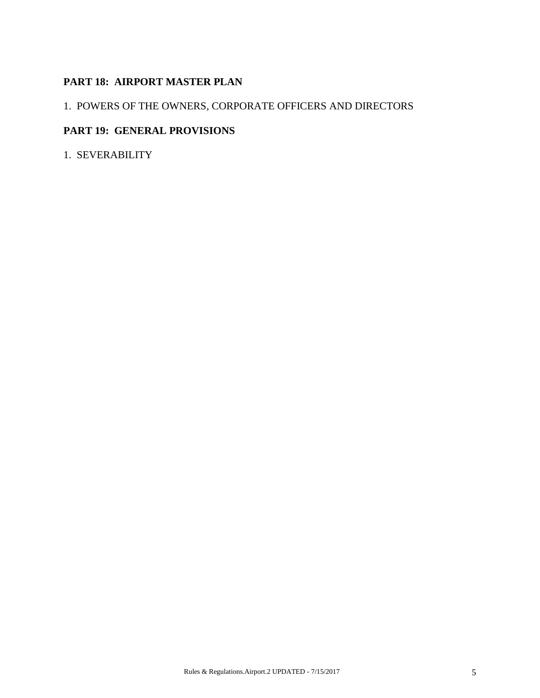# **PART 18: AIRPORT MASTER PLAN**

# 1. POWERS OF THE OWNERS, CORPORATE OFFICERS AND DIRECTORS

# **PART 19: GENERAL PROVISIONS**

1. SEVERABILITY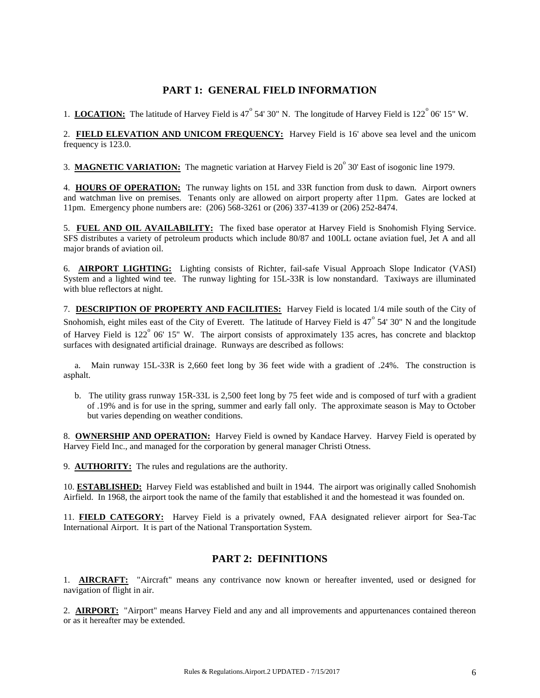### **PART 1: GENERAL FIELD INFORMATION**

1. **LOCATION:** The latitude of Harvey Field is  $47^\circ$  54' 30" N. The longitude of Harvey Field is  $122^\circ$  06' 15" W.

2. **FIELD ELEVATION AND UNICOM FREQUENCY:** Harvey Field is 16' above sea level and the unicom frequency is 123.0.

3. MAGNETIC VARIATION: The magnetic variation at Harvey Field is 20<sup>°</sup> 30' East of isogonic line 1979.

4. **HOURS OF OPERATION:** The runway lights on 15L and 33R function from dusk to dawn. Airport owners and watchman live on premises. Tenants only are allowed on airport property after 11pm. Gates are locked at 11pm. Emergency phone numbers are: (206) 568-3261 or (206) 337-4139 or (206) 252-8474.

5. **FUEL AND OIL AVAILABILITY:** The fixed base operator at Harvey Field is Snohomish Flying Service. SFS distributes a variety of petroleum products which include 80/87 and 100LL octane aviation fuel, Jet A and all major brands of aviation oil.

6. **AIRPORT LIGHTING:** Lighting consists of Richter, fail-safe Visual Approach Slope Indicator (VASI) System and a lighted wind tee. The runway lighting for 15L-33R is low nonstandard. Taxiways are illuminated with blue reflectors at night.

7. **DESCRIPTION OF PROPERTY AND FACILITIES:** Harvey Field is located 1/4 mile south of the City of Snohomish, eight miles east of the City of Everett. The latitude of Harvey Field is  $47^{\circ}$  54' 30" N and the longitude of Harvey Field is  $122^{\circ}$  06' 15" W. The airport consists of approximately 135 acres, has concrete and blacktop surfaces with designated artificial drainage. Runways are described as follows:

 a. Main runway 15L-33R is 2,660 feet long by 36 feet wide with a gradient of .24%. The construction is asphalt.

 b. The utility grass runway 15R-33L is 2,500 feet long by 75 feet wide and is composed of turf with a gradient of .19% and is for use in the spring, summer and early fall only. The approximate season is May to October but varies depending on weather conditions.

8. **OWNERSHIP AND OPERATION:** Harvey Field is owned by Kandace Harvey. Harvey Field is operated by Harvey Field Inc., and managed for the corporation by general manager Christi Otness.

9. **AUTHORITY:** The rules and regulations are the authority.

10. **ESTABLISHED:** Harvey Field was established and built in 1944. The airport was originally called Snohomish Airfield. In 1968, the airport took the name of the family that established it and the homestead it was founded on.

11. **FIELD CATEGORY:** Harvey Field is a privately owned, FAA designated reliever airport for Sea-Tac International Airport. It is part of the National Transportation System.

#### **PART 2: DEFINITIONS**

1. **AIRCRAFT:** "Aircraft" means any contrivance now known or hereafter invented, used or designed for navigation of flight in air.

2. **AIRPORT:** "Airport" means Harvey Field and any and all improvements and appurtenances contained thereon or as it hereafter may be extended.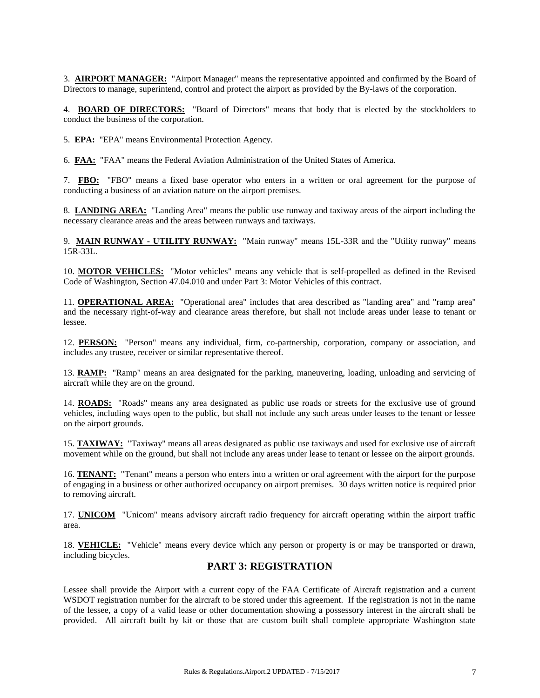3. **AIRPORT MANAGER:** "Airport Manager" means the representative appointed and confirmed by the Board of Directors to manage, superintend, control and protect the airport as provided by the By-laws of the corporation.

4. **BOARD OF DIRECTORS:** "Board of Directors" means that body that is elected by the stockholders to conduct the business of the corporation.

5. **EPA:** "EPA" means Environmental Protection Agency.

6. **FAA:** "FAA" means the Federal Aviation Administration of the United States of America.

7. **FBO:** "FBO" means a fixed base operator who enters in a written or oral agreement for the purpose of conducting a business of an aviation nature on the airport premises.

8. **LANDING AREA:** "Landing Area" means the public use runway and taxiway areas of the airport including the necessary clearance areas and the areas between runways and taxiways.

9. **MAIN RUNWAY - UTILITY RUNWAY:** "Main runway" means 15L-33R and the "Utility runway" means 15R-33L.

10. **MOTOR VEHICLES:** "Motor vehicles" means any vehicle that is self-propelled as defined in the Revised Code of Washington, Section 47.04.010 and under Part 3: Motor Vehicles of this contract.

11. **OPERATIONAL AREA:** "Operational area" includes that area described as "landing area" and "ramp area" and the necessary right-of-way and clearance areas therefore, but shall not include areas under lease to tenant or lessee.

12. **PERSON:** "Person" means any individual, firm, co-partnership, corporation, company or association, and includes any trustee, receiver or similar representative thereof.

13. **RAMP:** "Ramp" means an area designated for the parking, maneuvering, loading, unloading and servicing of aircraft while they are on the ground.

14. **ROADS:** "Roads" means any area designated as public use roads or streets for the exclusive use of ground vehicles, including ways open to the public, but shall not include any such areas under leases to the tenant or lessee on the airport grounds.

15. **TAXIWAY:** "Taxiway" means all areas designated as public use taxiways and used for exclusive use of aircraft movement while on the ground, but shall not include any areas under lease to tenant or lessee on the airport grounds.

16. **TENANT:** "Tenant" means a person who enters into a written or oral agreement with the airport for the purpose of engaging in a business or other authorized occupancy on airport premises. 30 days written notice is required prior to removing aircraft.

17. **UNICOM** "Unicom" means advisory aircraft radio frequency for aircraft operating within the airport traffic area.

18. **VEHICLE:** "Vehicle" means every device which any person or property is or may be transported or drawn, including bicycles.

#### **PART 3: REGISTRATION**

Lessee shall provide the Airport with a current copy of the FAA Certificate of Aircraft registration and a current WSDOT registration number for the aircraft to be stored under this agreement. If the registration is not in the name of the lessee, a copy of a valid lease or other documentation showing a possessory interest in the aircraft shall be provided. All aircraft built by kit or those that are custom built shall complete appropriate Washington state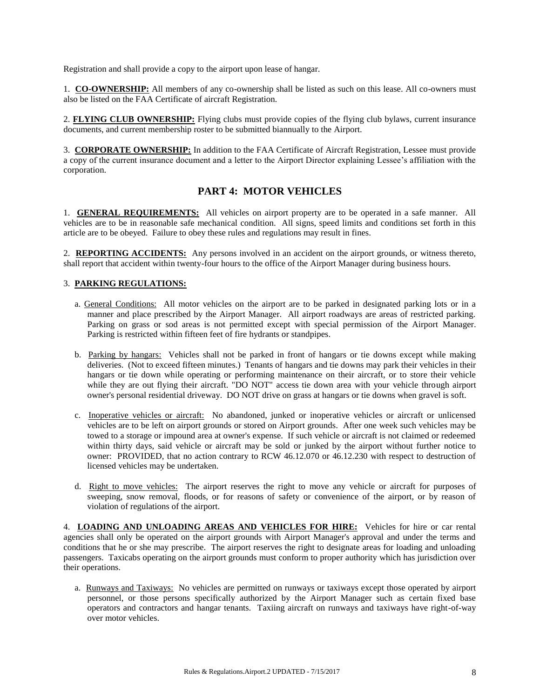Registration and shall provide a copy to the airport upon lease of hangar.

1. **CO-OWNERSHIP:** All members of any co-ownership shall be listed as such on this lease. All co-owners must also be listed on the FAA Certificate of aircraft Registration.

2. **FLYING CLUB OWNERSHIP:** Flying clubs must provide copies of the flying club bylaws, current insurance documents, and current membership roster to be submitted biannually to the Airport.

3. **CORPORATE OWNERSHIP:** In addition to the FAA Certificate of Aircraft Registration, Lessee must provide a copy of the current insurance document and a letter to the Airport Director explaining Lessee's affiliation with the corporation.

### **PART 4: MOTOR VEHICLES**

1. **GENERAL REQUIREMENTS:** All vehicles on airport property are to be operated in a safe manner. All vehicles are to be in reasonable safe mechanical condition. All signs, speed limits and conditions set forth in this article are to be obeyed. Failure to obey these rules and regulations may result in fines.

2. **REPORTING ACCIDENTS:** Any persons involved in an accident on the airport grounds, or witness thereto, shall report that accident within twenty-four hours to the office of the Airport Manager during business hours.

#### 3. **PARKING REGULATIONS:**

- a. General Conditions: All motor vehicles on the airport are to be parked in designated parking lots or in a manner and place prescribed by the Airport Manager. All airport roadways are areas of restricted parking. Parking on grass or sod areas is not permitted except with special permission of the Airport Manager. Parking is restricted within fifteen feet of fire hydrants or standpipes.
- b. Parking by hangars: Vehicles shall not be parked in front of hangars or tie downs except while making deliveries. (Not to exceed fifteen minutes.) Tenants of hangars and tie downs may park their vehicles in their hangars or tie down while operating or performing maintenance on their aircraft, or to store their vehicle while they are out flying their aircraft. "DO NOT" access tie down area with your vehicle through airport owner's personal residential driveway. DO NOT drive on grass at hangars or tie downs when gravel is soft.
- c. Inoperative vehicles or aircraft: No abandoned, junked or inoperative vehicles or aircraft or unlicensed vehicles are to be left on airport grounds or stored on Airport grounds. After one week such vehicles may be towed to a storage or impound area at owner's expense. If such vehicle or aircraft is not claimed or redeemed within thirty days, said vehicle or aircraft may be sold or junked by the airport without further notice to owner: PROVIDED, that no action contrary to RCW 46.12.070 or 46.12.230 with respect to destruction of licensed vehicles may be undertaken.
- d. Right to move vehicles: The airport reserves the right to move any vehicle or aircraft for purposes of sweeping, snow removal, floods, or for reasons of safety or convenience of the airport, or by reason of violation of regulations of the airport.

4. **LOADING AND UNLOADING AREAS AND VEHICLES FOR HIRE:** Vehicles for hire or car rental agencies shall only be operated on the airport grounds with Airport Manager's approval and under the terms and conditions that he or she may prescribe. The airport reserves the right to designate areas for loading and unloading passengers. Taxicabs operating on the airport grounds must conform to proper authority which has jurisdiction over their operations.

 a. Runways and Taxiways: No vehicles are permitted on runways or taxiways except those operated by airport personnel, or those persons specifically authorized by the Airport Manager such as certain fixed base operators and contractors and hangar tenants. Taxiing aircraft on runways and taxiways have right-of-way over motor vehicles.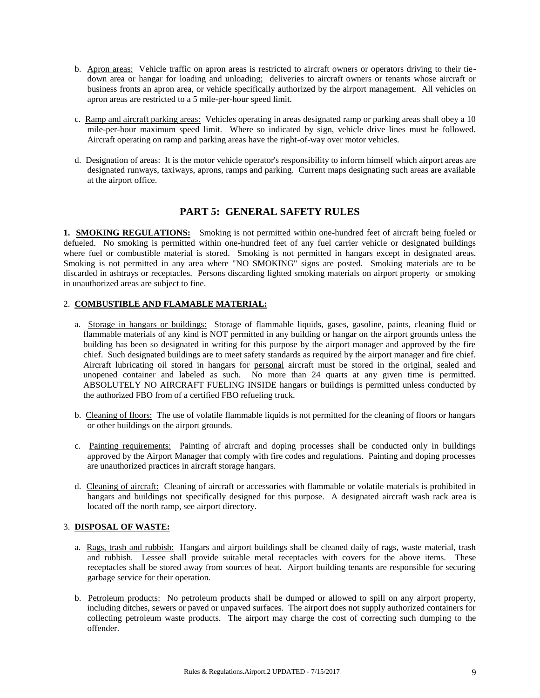- b. Apron areas: Vehicle traffic on apron areas is restricted to aircraft owners or operators driving to their tiedown area or hangar for loading and unloading; deliveries to aircraft owners or tenants whose aircraft or business fronts an apron area, or vehicle specifically authorized by the airport management. All vehicles on apron areas are restricted to a 5 mile-per-hour speed limit.
- c. Ramp and aircraft parking areas: Vehicles operating in areas designated ramp or parking areas shall obey a 10 mile-per-hour maximum speed limit. Where so indicated by sign, vehicle drive lines must be followed. Aircraft operating on ramp and parking areas have the right-of-way over motor vehicles.
- d. Designation of areas: It is the motor vehicle operator's responsibility to inform himself which airport areas are designated runways, taxiways, aprons, ramps and parking. Current maps designating such areas are available at the airport office.

#### **PART 5: GENERAL SAFETY RULES**

**1. SMOKING REGULATIONS:** Smoking is not permitted within one-hundred feet of aircraft being fueled or defueled. No smoking is permitted within one-hundred feet of any fuel carrier vehicle or designated buildings where fuel or combustible material is stored. Smoking is not permitted in hangars except in designated areas. Smoking is not permitted in any area where "NO SMOKING" signs are posted. Smoking materials are to be discarded in ashtrays or receptacles. Persons discarding lighted smoking materials on airport property or smoking in unauthorized areas are subject to fine.

#### 2. **COMBUSTIBLE AND FLAMABLE MATERIAL:**

- a. Storage in hangars or buildings: Storage of flammable liquids, gases, gasoline, paints, cleaning fluid or flammable materials of any kind is NOT permitted in any building or hangar on the airport grounds unless the building has been so designated in writing for this purpose by the airport manager and approved by the fire chief. Such designated buildings are to meet safety standards as required by the airport manager and fire chief. Aircraft lubricating oil stored in hangars for personal aircraft must be stored in the original, sealed and unopened container and labeled as such. No more than 24 quarts at any given time is permitted. ABSOLUTELY NO AIRCRAFT FUELING INSIDE hangars or buildings is permitted unless conducted by the authorized FBO from of a certified FBO refueling truck.
- b. Cleaning of floors: The use of volatile flammable liquids is not permitted for the cleaning of floors or hangars or other buildings on the airport grounds.
- c. Painting requirements: Painting of aircraft and doping processes shall be conducted only in buildings approved by the Airport Manager that comply with fire codes and regulations. Painting and doping processes are unauthorized practices in aircraft storage hangars.
- d. Cleaning of aircraft: Cleaning of aircraft or accessories with flammable or volatile materials is prohibited in hangars and buildings not specifically designed for this purpose. A designated aircraft wash rack area is located off the north ramp, see airport directory.

#### 3. **DISPOSAL OF WASTE:**

- a. Rags, trash and rubbish: Hangars and airport buildings shall be cleaned daily of rags, waste material, trash and rubbish. Lessee shall provide suitable metal receptacles with covers for the above items. These receptacles shall be stored away from sources of heat. Airport building tenants are responsible for securing garbage service for their operation.
- b. Petroleum products: No petroleum products shall be dumped or allowed to spill on any airport property, including ditches, sewers or paved or unpaved surfaces. The airport does not supply authorized containers for collecting petroleum waste products. The airport may charge the cost of correcting such dumping to the offender.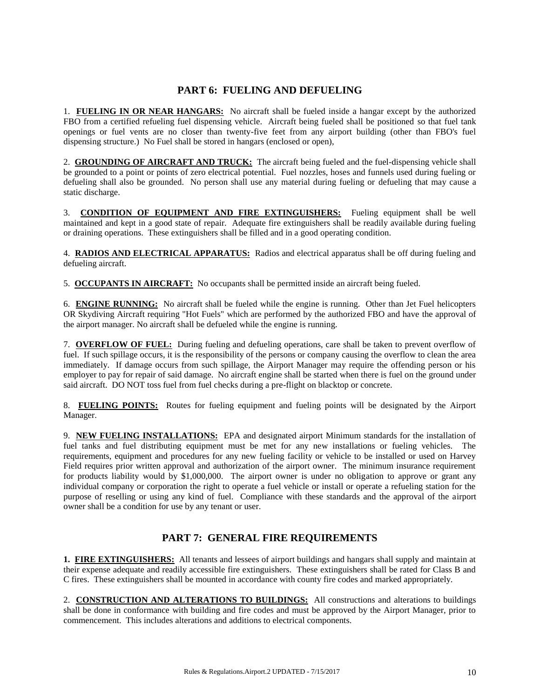#### **PART 6: FUELING AND DEFUELING**

1. **FUELING IN OR NEAR HANGARS:** No aircraft shall be fueled inside a hangar except by the authorized FBO from a certified refueling fuel dispensing vehicle. Aircraft being fueled shall be positioned so that fuel tank openings or fuel vents are no closer than twenty-five feet from any airport building (other than FBO's fuel dispensing structure.) No Fuel shall be stored in hangars (enclosed or open),

2. **GROUNDING OF AIRCRAFT AND TRUCK:** The aircraft being fueled and the fuel-dispensing vehicle shall be grounded to a point or points of zero electrical potential. Fuel nozzles, hoses and funnels used during fueling or defueling shall also be grounded. No person shall use any material during fueling or defueling that may cause a static discharge.

3. **CONDITION OF EQUIPMENT AND FIRE EXTINGUISHERS:** Fueling equipment shall be well maintained and kept in a good state of repair. Adequate fire extinguishers shall be readily available during fueling or draining operations. These extinguishers shall be filled and in a good operating condition.

4. **RADIOS AND ELECTRICAL APPARATUS:** Radios and electrical apparatus shall be off during fueling and defueling aircraft.

5. **OCCUPANTS IN AIRCRAFT:** No occupants shall be permitted inside an aircraft being fueled.

6. **ENGINE RUNNING:** No aircraft shall be fueled while the engine is running. Other than Jet Fuel helicopters OR Skydiving Aircraft requiring "Hot Fuels" which are performed by the authorized FBO and have the approval of the airport manager. No aircraft shall be defueled while the engine is running.

7. **OVERFLOW OF FUEL:** During fueling and defueling operations, care shall be taken to prevent overflow of fuel. If such spillage occurs, it is the responsibility of the persons or company causing the overflow to clean the area immediately. If damage occurs from such spillage, the Airport Manager may require the offending person or his employer to pay for repair of said damage. No aircraft engine shall be started when there is fuel on the ground under said aircraft. DO NOT toss fuel from fuel checks during a pre-flight on blacktop or concrete.

8. **FUELING POINTS:** Routes for fueling equipment and fueling points will be designated by the Airport Manager.

9. **NEW FUELING INSTALLATIONS:** EPA and designated airport Minimum standards for the installation of fuel tanks and fuel distributing equipment must be met for any new installations or fueling vehicles. The requirements, equipment and procedures for any new fueling facility or vehicle to be installed or used on Harvey Field requires prior written approval and authorization of the airport owner. The minimum insurance requirement for products liability would by \$1,000,000. The airport owner is under no obligation to approve or grant any individual company or corporation the right to operate a fuel vehicle or install or operate a refueling station for the purpose of reselling or using any kind of fuel. Compliance with these standards and the approval of the airport owner shall be a condition for use by any tenant or user.

# **PART 7: GENERAL FIRE REQUIREMENTS**

**1. FIRE EXTINGUISHERS:** All tenants and lessees of airport buildings and hangars shall supply and maintain at their expense adequate and readily accessible fire extinguishers. These extinguishers shall be rated for Class B and C fires. These extinguishers shall be mounted in accordance with county fire codes and marked appropriately.

2. **CONSTRUCTION AND ALTERATIONS TO BUILDINGS:** All constructions and alterations to buildings shall be done in conformance with building and fire codes and must be approved by the Airport Manager, prior to commencement. This includes alterations and additions to electrical components.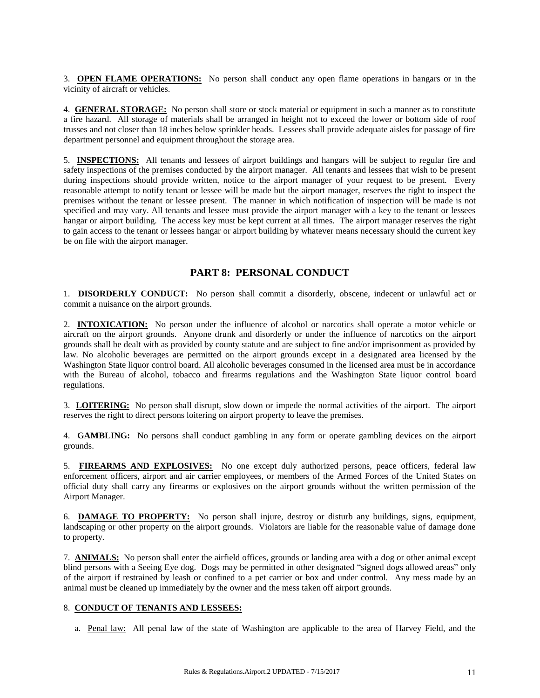3. **OPEN FLAME OPERATIONS:** No person shall conduct any open flame operations in hangars or in the vicinity of aircraft or vehicles.

4. **GENERAL STORAGE:** No person shall store or stock material or equipment in such a manner as to constitute a fire hazard. All storage of materials shall be arranged in height not to exceed the lower or bottom side of roof trusses and not closer than 18 inches below sprinkler heads. Lessees shall provide adequate aisles for passage of fire department personnel and equipment throughout the storage area.

5. **INSPECTIONS:** All tenants and lessees of airport buildings and hangars will be subject to regular fire and safety inspections of the premises conducted by the airport manager. All tenants and lessees that wish to be present during inspections should provide written, notice to the airport manager of your request to be present. Every reasonable attempt to notify tenant or lessee will be made but the airport manager, reserves the right to inspect the premises without the tenant or lessee present. The manner in which notification of inspection will be made is not specified and may vary. All tenants and lessee must provide the airport manager with a key to the tenant or lessees hangar or airport building. The access key must be kept current at all times. The airport manager reserves the right to gain access to the tenant or lessees hangar or airport building by whatever means necessary should the current key be on file with the airport manager.

#### **PART 8: PERSONAL CONDUCT**

1. **DISORDERLY CONDUCT:** No person shall commit a disorderly, obscene, indecent or unlawful act or commit a nuisance on the airport grounds.

2. **INTOXICATION:** No person under the influence of alcohol or narcotics shall operate a motor vehicle or aircraft on the airport grounds. Anyone drunk and disorderly or under the influence of narcotics on the airport grounds shall be dealt with as provided by county statute and are subject to fine and/or imprisonment as provided by law. No alcoholic beverages are permitted on the airport grounds except in a designated area licensed by the Washington State liquor control board. All alcoholic beverages consumed in the licensed area must be in accordance with the Bureau of alcohol, tobacco and firearms regulations and the Washington State liquor control board regulations.

3. **LOITERING:** No person shall disrupt, slow down or impede the normal activities of the airport. The airport reserves the right to direct persons loitering on airport property to leave the premises.

4. **GAMBLING:** No persons shall conduct gambling in any form or operate gambling devices on the airport grounds.

5. **FIREARMS AND EXPLOSIVES:** No one except duly authorized persons, peace officers, federal law enforcement officers, airport and air carrier employees, or members of the Armed Forces of the United States on official duty shall carry any firearms or explosives on the airport grounds without the written permission of the Airport Manager.

6. **DAMAGE TO PROPERTY:** No person shall injure, destroy or disturb any buildings, signs, equipment, landscaping or other property on the airport grounds. Violators are liable for the reasonable value of damage done to property.

7. **ANIMALS:** No person shall enter the airfield offices, grounds or landing area with a dog or other animal except blind persons with a Seeing Eye dog. Dogs may be permitted in other designated "signed dogs allowed areas" only of the airport if restrained by leash or confined to a pet carrier or box and under control. Any mess made by an animal must be cleaned up immediately by the owner and the mess taken off airport grounds.

#### 8. **CONDUCT OF TENANTS AND LESSEES:**

a. Penal law: All penal law of the state of Washington are applicable to the area of Harvey Field, and the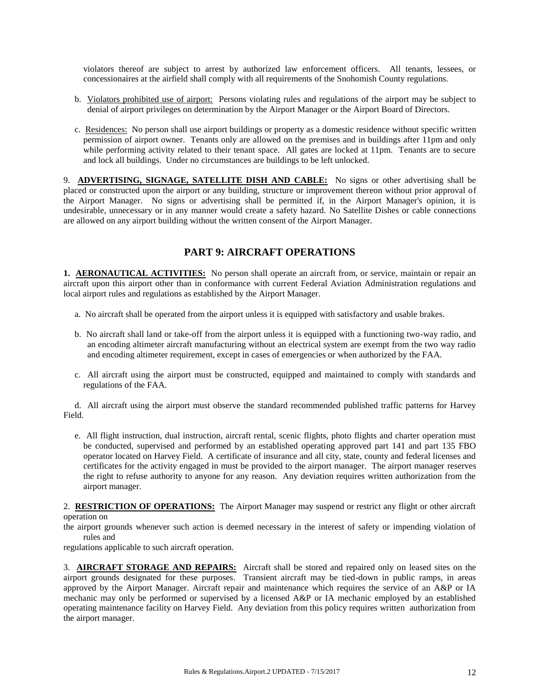violators thereof are subject to arrest by authorized law enforcement officers. All tenants, lessees, or concessionaires at the airfield shall comply with all requirements of the Snohomish County regulations.

- b. Violators prohibited use of airport: Persons violating rules and regulations of the airport may be subject to denial of airport privileges on determination by the Airport Manager or the Airport Board of Directors.
- c. Residences: No person shall use airport buildings or property as a domestic residence without specific written permission of airport owner. Tenants only are allowed on the premises and in buildings after 11pm and only while performing activity related to their tenant space. All gates are locked at 11pm. Tenants are to secure and lock all buildings. Under no circumstances are buildings to be left unlocked.

9. **ADVERTISING, SIGNAGE, SATELLITE DISH AND CABLE:** No signs or other advertising shall be placed or constructed upon the airport or any building, structure or improvement thereon without prior approval of the Airport Manager. No signs or advertising shall be permitted if, in the Airport Manager's opinion, it is undesirable, unnecessary or in any manner would create a safety hazard. No Satellite Dishes or cable connections are allowed on any airport building without the written consent of the Airport Manager.

#### **PART 9: AIRCRAFT OPERATIONS**

**1. AERONAUTICAL ACTIVITIES:** No person shall operate an aircraft from, or service, maintain or repair an aircraft upon this airport other than in conformance with current Federal Aviation Administration regulations and local airport rules and regulations as established by the Airport Manager.

- a. No aircraft shall be operated from the airport unless it is equipped with satisfactory and usable brakes.
- b. No aircraft shall land or take-off from the airport unless it is equipped with a functioning two-way radio, and an encoding altimeter aircraft manufacturing without an electrical system are exempt from the two way radio and encoding altimeter requirement, except in cases of emergencies or when authorized by the FAA.
- c. All aircraft using the airport must be constructed, equipped and maintained to comply with standards and regulations of the FAA.

 d. All aircraft using the airport must observe the standard recommended published traffic patterns for Harvey Field.

 e. All flight instruction, dual instruction, aircraft rental, scenic flights, photo flights and charter operation must be conducted, supervised and performed by an established operating approved part 141 and part 135 FBO operator located on Harvey Field. A certificate of insurance and all city, state, county and federal licenses and certificates for the activity engaged in must be provided to the airport manager. The airport manager reserves the right to refuse authority to anyone for any reason. Any deviation requires written authorization from the airport manager.

2. **RESTRICTION OF OPERATIONS:** The Airport Manager may suspend or restrict any flight or other aircraft operation on

the airport grounds whenever such action is deemed necessary in the interest of safety or impending violation of rules and

regulations applicable to such aircraft operation.

3. **AIRCRAFT STORAGE AND REPAIRS:** Aircraft shall be stored and repaired only on leased sites on the airport grounds designated for these purposes. Transient aircraft may be tied-down in public ramps, in areas approved by the Airport Manager. Aircraft repair and maintenance which requires the service of an A&P or IA mechanic may only be performed or supervised by a licensed A&P or IA mechanic employed by an established operating maintenance facility on Harvey Field. Any deviation from this policy requires written authorization from the airport manager.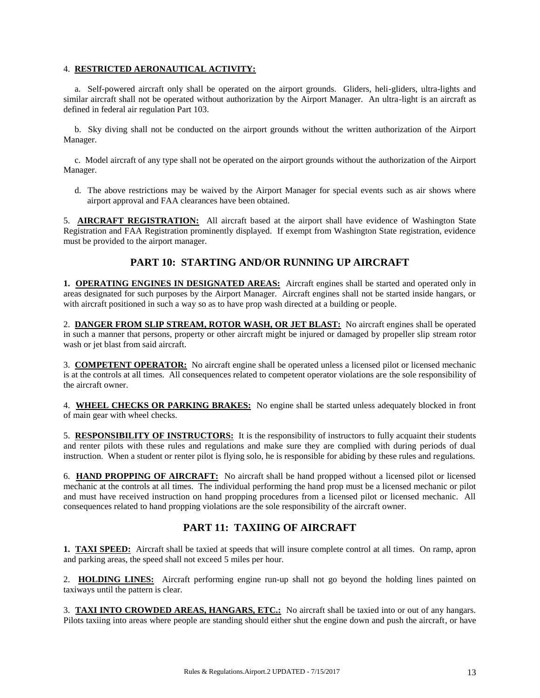#### 4. **RESTRICTED AERONAUTICAL ACTIVITY:**

 a. Self-powered aircraft only shall be operated on the airport grounds. Gliders, heli-gliders, ultra-lights and similar aircraft shall not be operated without authorization by the Airport Manager. An ultra-light is an aircraft as defined in federal air regulation Part 103.

 b. Sky diving shall not be conducted on the airport grounds without the written authorization of the Airport Manager.

 c. Model aircraft of any type shall not be operated on the airport grounds without the authorization of the Airport Manager.

 d. The above restrictions may be waived by the Airport Manager for special events such as air shows where airport approval and FAA clearances have been obtained.

5. **AIRCRAFT REGISTRATION:** All aircraft based at the airport shall have evidence of Washington State Registration and FAA Registration prominently displayed. If exempt from Washington State registration, evidence must be provided to the airport manager.

### **PART 10: STARTING AND/OR RUNNING UP AIRCRAFT**

**1. OPERATING ENGINES IN DESIGNATED AREAS:** Aircraft engines shall be started and operated only in areas designated for such purposes by the Airport Manager. Aircraft engines shall not be started inside hangars, or with aircraft positioned in such a way so as to have prop wash directed at a building or people.

2. **DANGER FROM SLIP STREAM, ROTOR WASH, OR JET BLAST:** No aircraft engines shall be operated in such a manner that persons, property or other aircraft might be injured or damaged by propeller slip stream rotor wash or jet blast from said aircraft.

3. **COMPETENT OPERATOR:** No aircraft engine shall be operated unless a licensed pilot or licensed mechanic is at the controls at all times. All consequences related to competent operator violations are the sole responsibility of the aircraft owner.

4. **WHEEL CHECKS OR PARKING BRAKES:** No engine shall be started unless adequately blocked in front of main gear with wheel checks.

5. **RESPONSIBILITY OF INSTRUCTORS:** It is the responsibility of instructors to fully acquaint their students and renter pilots with these rules and regulations and make sure they are complied with during periods of dual instruction. When a student or renter pilot is flying solo, he is responsible for abiding by these rules and regulations.

6. **HAND PROPPING OF AIRCRAFT:** No aircraft shall be hand propped without a licensed pilot or licensed mechanic at the controls at all times. The individual performing the hand prop must be a licensed mechanic or pilot and must have received instruction on hand propping procedures from a licensed pilot or licensed mechanic. All consequences related to hand propping violations are the sole responsibility of the aircraft owner.

# **PART 11: TAXIING OF AIRCRAFT**

**1. TAXI SPEED:** Aircraft shall be taxied at speeds that will insure complete control at all times. On ramp, apron and parking areas, the speed shall not exceed 5 miles per hour.

2. **HOLDING LINES:** Aircraft performing engine run-up shall not go beyond the holding lines painted on taxiways until the pattern is clear.

3. **TAXI INTO CROWDED AREAS, HANGARS, ETC.:** No aircraft shall be taxied into or out of any hangars. Pilots taxiing into areas where people are standing should either shut the engine down and push the aircraft, or have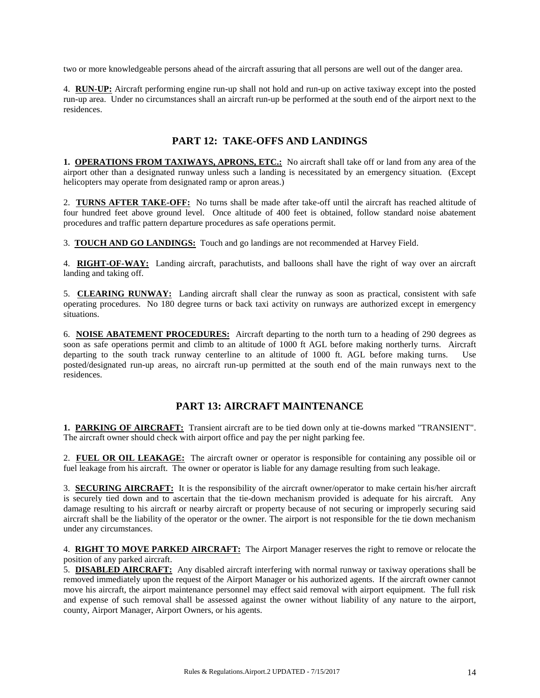two or more knowledgeable persons ahead of the aircraft assuring that all persons are well out of the danger area.

4. **RUN-UP:** Aircraft performing engine run-up shall not hold and run-up on active taxiway except into the posted run-up area. Under no circumstances shall an aircraft run-up be performed at the south end of the airport next to the residences.

### **PART 12: TAKE-OFFS AND LANDINGS**

**1. OPERATIONS FROM TAXIWAYS, APRONS, ETC.:** No aircraft shall take off or land from any area of the airport other than a designated runway unless such a landing is necessitated by an emergency situation. (Except helicopters may operate from designated ramp or apron areas.)

2. **TURNS AFTER TAKE-OFF:** No turns shall be made after take-off until the aircraft has reached altitude of four hundred feet above ground level. Once altitude of 400 feet is obtained, follow standard noise abatement procedures and traffic pattern departure procedures as safe operations permit.

3. **TOUCH AND GO LANDINGS:** Touch and go landings are not recommended at Harvey Field.

4. **RIGHT-OF-WAY:** Landing aircraft, parachutists, and balloons shall have the right of way over an aircraft landing and taking off.

5. **CLEARING RUNWAY:** Landing aircraft shall clear the runway as soon as practical, consistent with safe operating procedures. No 180 degree turns or back taxi activity on runways are authorized except in emergency situations.

6. **NOISE ABATEMENT PROCEDURES:** Aircraft departing to the north turn to a heading of 290 degrees as soon as safe operations permit and climb to an altitude of 1000 ft AGL before making northerly turns. Aircraft departing to the south track runway centerline to an altitude of 1000 ft. AGL before making turns. Use posted/designated run-up areas, no aircraft run-up permitted at the south end of the main runways next to the residences.

# **PART 13: AIRCRAFT MAINTENANCE**

**1. PARKING OF AIRCRAFT:** Transient aircraft are to be tied down only at tie-downs marked "TRANSIENT". The aircraft owner should check with airport office and pay the per night parking fee.

2. **FUEL OR OIL LEAKAGE:** The aircraft owner or operator is responsible for containing any possible oil or fuel leakage from his aircraft. The owner or operator is liable for any damage resulting from such leakage.

3. **SECURING AIRCRAFT:** It is the responsibility of the aircraft owner/operator to make certain his/her aircraft is securely tied down and to ascertain that the tie-down mechanism provided is adequate for his aircraft. Any damage resulting to his aircraft or nearby aircraft or property because of not securing or improperly securing said aircraft shall be the liability of the operator or the owner. The airport is not responsible for the tie down mechanism under any circumstances.

4. **RIGHT TO MOVE PARKED AIRCRAFT:** The Airport Manager reserves the right to remove or relocate the position of any parked aircraft.

5. **DISABLED AIRCRAFT:** Any disabled aircraft interfering with normal runway or taxiway operations shall be removed immediately upon the request of the Airport Manager or his authorized agents. If the aircraft owner cannot move his aircraft, the airport maintenance personnel may effect said removal with airport equipment. The full risk and expense of such removal shall be assessed against the owner without liability of any nature to the airport, county, Airport Manager, Airport Owners, or his agents.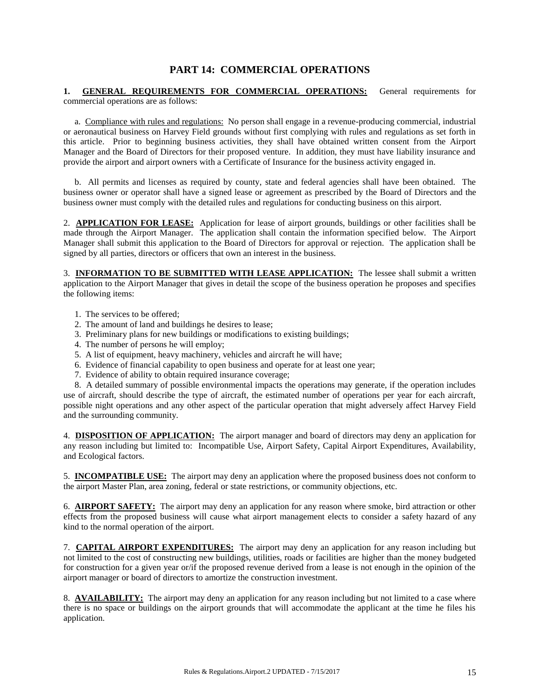#### **PART 14: COMMERCIAL OPERATIONS**

#### **1. GENERAL REQUIREMENTS FOR COMMERCIAL OPERATIONS:** General requirements for commercial operations are as follows:

 a. Compliance with rules and regulations: No person shall engage in a revenue-producing commercial, industrial or aeronautical business on Harvey Field grounds without first complying with rules and regulations as set forth in this article. Prior to beginning business activities, they shall have obtained written consent from the Airport Manager and the Board of Directors for their proposed venture. In addition, they must have liability insurance and provide the airport and airport owners with a Certificate of Insurance for the business activity engaged in.

 b. All permits and licenses as required by county, state and federal agencies shall have been obtained. The business owner or operator shall have a signed lease or agreement as prescribed by the Board of Directors and the business owner must comply with the detailed rules and regulations for conducting business on this airport.

2. **APPLICATION FOR LEASE:** Application for lease of airport grounds, buildings or other facilities shall be made through the Airport Manager. The application shall contain the information specified below. The Airport Manager shall submit this application to the Board of Directors for approval or rejection. The application shall be signed by all parties, directors or officers that own an interest in the business.

3. **INFORMATION TO BE SUBMITTED WITH LEASE APPLICATION:** The lessee shall submit a written application to the Airport Manager that gives in detail the scope of the business operation he proposes and specifies the following items:

- 1. The services to be offered;
- 2. The amount of land and buildings he desires to lease;
- 3. Preliminary plans for new buildings or modifications to existing buildings;
- 4. The number of persons he will employ;
- 5. A list of equipment, heavy machinery, vehicles and aircraft he will have;
- 6. Evidence of financial capability to open business and operate for at least one year;
- 7. Evidence of ability to obtain required insurance coverage;

 8. A detailed summary of possible environmental impacts the operations may generate, if the operation includes use of aircraft, should describe the type of aircraft, the estimated number of operations per year for each aircraft, possible night operations and any other aspect of the particular operation that might adversely affect Harvey Field and the surrounding community.

4. **DISPOSITION OF APPLICATION:** The airport manager and board of directors may deny an application for any reason including but limited to: Incompatible Use, Airport Safety, Capital Airport Expenditures, Availability, and Ecological factors.

5. **INCOMPATIBLE USE:** The airport may deny an application where the proposed business does not conform to the airport Master Plan, area zoning, federal or state restrictions, or community objections, etc.

6. **AIRPORT SAFETY:** The airport may deny an application for any reason where smoke, bird attraction or other effects from the proposed business will cause what airport management elects to consider a safety hazard of any kind to the normal operation of the airport.

7. **CAPITAL AIRPORT EXPENDITURES:** The airport may deny an application for any reason including but not limited to the cost of constructing new buildings, utilities, roads or facilities are higher than the money budgeted for construction for a given year or/if the proposed revenue derived from a lease is not enough in the opinion of the airport manager or board of directors to amortize the construction investment.

8. **AVAILABILITY:** The airport may deny an application for any reason including but not limited to a case where there is no space or buildings on the airport grounds that will accommodate the applicant at the time he files his application.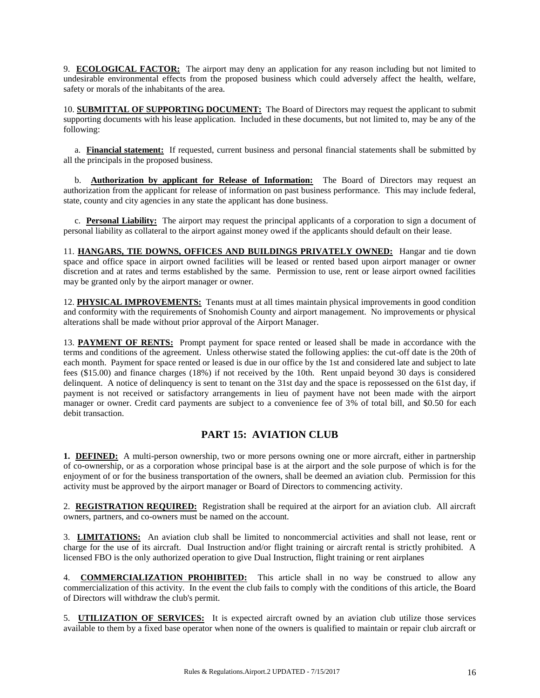9. **ECOLOGICAL FACTOR:** The airport may deny an application for any reason including but not limited to undesirable environmental effects from the proposed business which could adversely affect the health, welfare, safety or morals of the inhabitants of the area.

10. **SUBMITTAL OF SUPPORTING DOCUMENT:** The Board of Directors may request the applicant to submit supporting documents with his lease application. Included in these documents, but not limited to, may be any of the following:

 a. **Financial statement:** If requested, current business and personal financial statements shall be submitted by all the principals in the proposed business.

 b. **Authorization by applicant for Release of Information:** The Board of Directors may request an authorization from the applicant for release of information on past business performance. This may include federal, state, county and city agencies in any state the applicant has done business.

 c. **Personal Liability:** The airport may request the principal applicants of a corporation to sign a document of personal liability as collateral to the airport against money owed if the applicants should default on their lease.

11. **HANGARS, TIE DOWNS, OFFICES AND BUILDINGS PRIVATELY OWNED:** Hangar and tie down space and office space in airport owned facilities will be leased or rented based upon airport manager or owner discretion and at rates and terms established by the same. Permission to use, rent or lease airport owned facilities may be granted only by the airport manager or owner.

12. **PHYSICAL IMPROVEMENTS:** Tenants must at all times maintain physical improvements in good condition and conformity with the requirements of Snohomish County and airport management. No improvements or physical alterations shall be made without prior approval of the Airport Manager.

13. **PAYMENT OF RENTS:** Prompt payment for space rented or leased shall be made in accordance with the terms and conditions of the agreement. Unless otherwise stated the following applies: the cut-off date is the 20th of each month. Payment for space rented or leased is due in our office by the 1st and considered late and subject to late fees (\$15.00) and finance charges (18%) if not received by the 10th. Rent unpaid beyond 30 days is considered delinquent. A notice of delinquency is sent to tenant on the 31st day and the space is repossessed on the 61st day, if payment is not received or satisfactory arrangements in lieu of payment have not been made with the airport manager or owner. Credit card payments are subject to a convenience fee of 3% of total bill, and \$0.50 for each debit transaction.

# **PART 15: AVIATION CLUB**

**1. DEFINED:** A multi-person ownership, two or more persons owning one or more aircraft, either in partnership of co-ownership, or as a corporation whose principal base is at the airport and the sole purpose of which is for the enjoyment of or for the business transportation of the owners, shall be deemed an aviation club. Permission for this activity must be approved by the airport manager or Board of Directors to commencing activity.

2. **REGISTRATION REQUIRED:** Registration shall be required at the airport for an aviation club. All aircraft owners, partners, and co-owners must be named on the account.

3. **LIMITATIONS:** An aviation club shall be limited to noncommercial activities and shall not lease, rent or charge for the use of its aircraft. Dual Instruction and/or flight training or aircraft rental is strictly prohibited. A licensed FBO is the only authorized operation to give Dual Instruction, flight training or rent airplanes

4. **COMMERCIALIZATION PROHIBITED:** This article shall in no way be construed to allow any commercialization of this activity. In the event the club fails to comply with the conditions of this article, the Board of Directors will withdraw the club's permit.

5. **UTILIZATION OF SERVICES:** It is expected aircraft owned by an aviation club utilize those services available to them by a fixed base operator when none of the owners is qualified to maintain or repair club aircraft or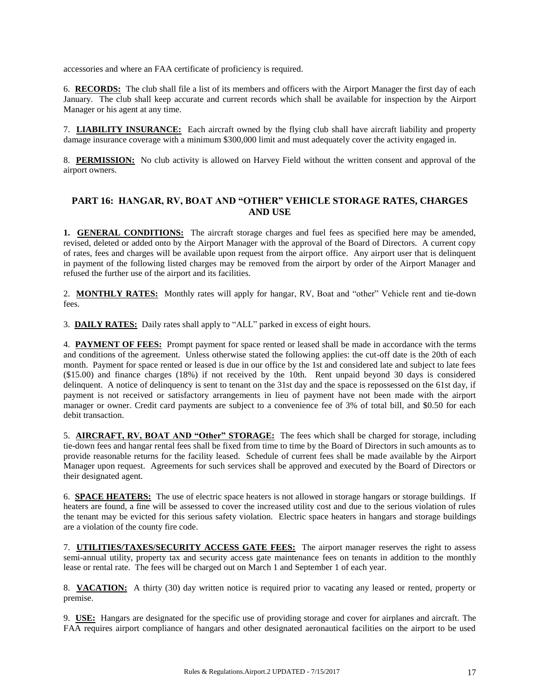accessories and where an FAA certificate of proficiency is required.

6. **RECORDS:** The club shall file a list of its members and officers with the Airport Manager the first day of each January. The club shall keep accurate and current records which shall be available for inspection by the Airport Manager or his agent at any time.

7. **LIABILITY INSURANCE:** Each aircraft owned by the flying club shall have aircraft liability and property damage insurance coverage with a minimum \$300,000 limit and must adequately cover the activity engaged in.

8. **PERMISSION:** No club activity is allowed on Harvey Field without the written consent and approval of the airport owners.

#### **PART 16: HANGAR, RV, BOAT AND "OTHER" VEHICLE STORAGE RATES, CHARGES AND USE**

**1. GENERAL CONDITIONS:** The aircraft storage charges and fuel fees as specified here may be amended, revised, deleted or added onto by the Airport Manager with the approval of the Board of Directors. A current copy of rates, fees and charges will be available upon request from the airport office. Any airport user that is delinquent in payment of the following listed charges may be removed from the airport by order of the Airport Manager and refused the further use of the airport and its facilities.

2. **MONTHLY RATES:** Monthly rates will apply for hangar, RV, Boat and "other" Vehicle rent and tie-down fees.

3. **DAILY RATES:** Daily rates shall apply to "ALL" parked in excess of eight hours.

4. **PAYMENT OF FEES:** Prompt payment for space rented or leased shall be made in accordance with the terms and conditions of the agreement. Unless otherwise stated the following applies: the cut-off date is the 20th of each month. Payment for space rented or leased is due in our office by the 1st and considered late and subject to late fees (\$15.00) and finance charges (18%) if not received by the 10th. Rent unpaid beyond 30 days is considered delinquent. A notice of delinquency is sent to tenant on the 31st day and the space is repossessed on the 61st day, if payment is not received or satisfactory arrangements in lieu of payment have not been made with the airport manager or owner. Credit card payments are subject to a convenience fee of 3% of total bill, and \$0.50 for each debit transaction.

5. **AIRCRAFT, RV, BOAT AND "Other" STORAGE:** The fees which shall be charged for storage, including tie-down fees and hangar rental fees shall be fixed from time to time by the Board of Directors in such amounts as to provide reasonable returns for the facility leased. Schedule of current fees shall be made available by the Airport Manager upon request. Agreements for such services shall be approved and executed by the Board of Directors or their designated agent.

6. **SPACE HEATERS:** The use of electric space heaters is not allowed in storage hangars or storage buildings. If heaters are found, a fine will be assessed to cover the increased utility cost and due to the serious violation of rules the tenant may be evicted for this serious safety violation. Electric space heaters in hangars and storage buildings are a violation of the county fire code.

7. **UTILITIES/TAXES/SECURITY ACCESS GATE FEES:** The airport manager reserves the right to assess semi-annual utility, property tax and security access gate maintenance fees on tenants in addition to the monthly lease or rental rate. The fees will be charged out on March 1 and September 1 of each year.

8. **VACATION:** A thirty (30) day written notice is required prior to vacating any leased or rented, property or premise.

9. **USE:** Hangars are designated for the specific use of providing storage and cover for airplanes and aircraft. The FAA requires airport compliance of hangars and other designated aeronautical facilities on the airport to be used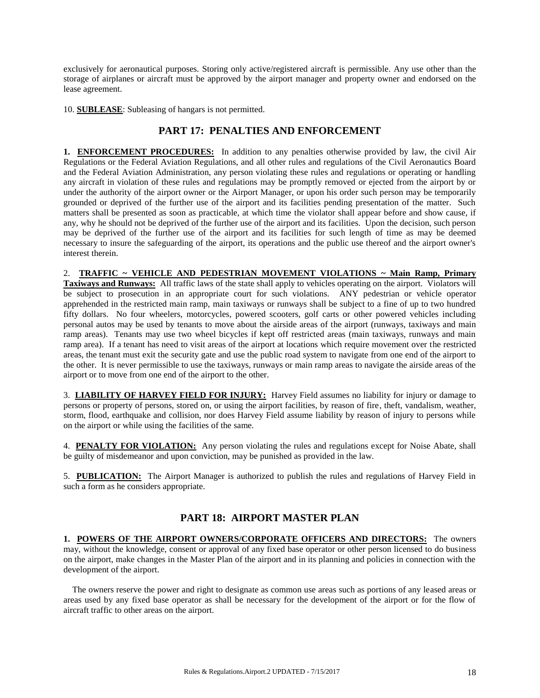exclusively for aeronautical purposes. Storing only active/registered aircraft is permissible. Any use other than the storage of airplanes or aircraft must be approved by the airport manager and property owner and endorsed on the lease agreement.

10. **SUBLEASE**: Subleasing of hangars is not permitted.

#### **PART 17: PENALTIES AND ENFORCEMENT**

**1. ENFORCEMENT PROCEDURES:** In addition to any penalties otherwise provided by law, the civil Air Regulations or the Federal Aviation Regulations, and all other rules and regulations of the Civil Aeronautics Board and the Federal Aviation Administration, any person violating these rules and regulations or operating or handling any aircraft in violation of these rules and regulations may be promptly removed or ejected from the airport by or under the authority of the airport owner or the Airport Manager, or upon his order such person may be temporarily grounded or deprived of the further use of the airport and its facilities pending presentation of the matter. Such matters shall be presented as soon as practicable, at which time the violator shall appear before and show cause, if any, why he should not be deprived of the further use of the airport and its facilities. Upon the decision, such person may be deprived of the further use of the airport and its facilities for such length of time as may be deemed necessary to insure the safeguarding of the airport, its operations and the public use thereof and the airport owner's interest therein.

2. **TRAFFIC ~ VEHICLE AND PEDESTRIAN MOVEMENT VIOLATIONS ~ Main Ramp, Primary Taxiways and Runways:** All traffic laws of the state shall apply to vehicles operating on the airport. Violators will be subject to prosecution in an appropriate court for such violations. ANY pedestrian or vehicle operator apprehended in the restricted main ramp, main taxiways or runways shall be subject to a fine of up to two hundred fifty dollars. No four wheelers, motorcycles, powered scooters, golf carts or other powered vehicles including personal autos may be used by tenants to move about the airside areas of the airport (runways, taxiways and main ramp areas). Tenants may use two wheel bicycles if kept off restricted areas (main taxiways, runways and main ramp area). If a tenant has need to visit areas of the airport at locations which require movement over the restricted areas, the tenant must exit the security gate and use the public road system to navigate from one end of the airport to the other. It is never permissible to use the taxiways, runways or main ramp areas to navigate the airside areas of the airport or to move from one end of the airport to the other.

3. **LIABILITY OF HARVEY FIELD FOR INJURY:** Harvey Field assumes no liability for injury or damage to persons or property of persons, stored on, or using the airport facilities, by reason of fire, theft, vandalism, weather, storm, flood, earthquake and collision, nor does Harvey Field assume liability by reason of injury to persons while on the airport or while using the facilities of the same.

4. **PENALTY FOR VIOLATION:** Any person violating the rules and regulations except for Noise Abate, shall be guilty of misdemeanor and upon conviction, may be punished as provided in the law.

5. **PUBLICATION:** The Airport Manager is authorized to publish the rules and regulations of Harvey Field in such a form as he considers appropriate.

#### **PART 18: AIRPORT MASTER PLAN**

**1. POWERS OF THE AIRPORT OWNERS/CORPORATE OFFICERS AND DIRECTORS:** The owners may, without the knowledge, consent or approval of any fixed base operator or other person licensed to do business on the airport, make changes in the Master Plan of the airport and in its planning and policies in connection with the development of the airport.

 The owners reserve the power and right to designate as common use areas such as portions of any leased areas or areas used by any fixed base operator as shall be necessary for the development of the airport or for the flow of aircraft traffic to other areas on the airport.